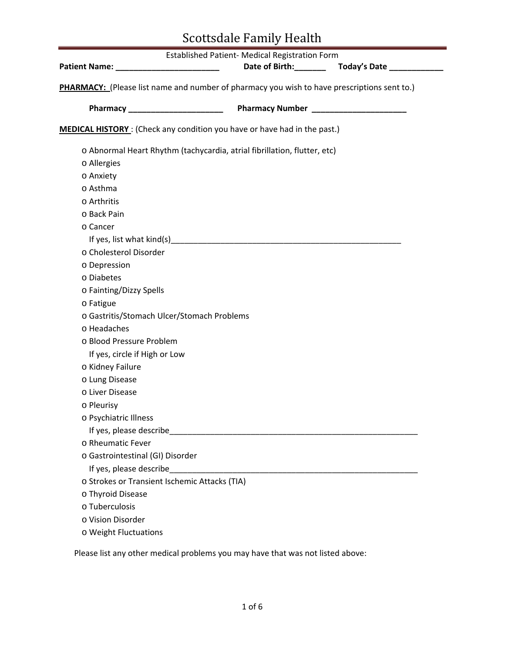| Established Patient- Medical Registration Form                                              |  |  |  |  |
|---------------------------------------------------------------------------------------------|--|--|--|--|
|                                                                                             |  |  |  |  |
|                                                                                             |  |  |  |  |
| PHARMACY: (Please list name and number of pharmacy you wish to have prescriptions sent to.) |  |  |  |  |
| Pharmacy ______________________<br>Pharmacy Number _______________________                  |  |  |  |  |
| <b>MEDICAL HISTORY</b> : (Check any condition you have or have had in the past.)            |  |  |  |  |
| o Abnormal Heart Rhythm (tachycardia, atrial fibrillation, flutter, etc)                    |  |  |  |  |
| o Allergies                                                                                 |  |  |  |  |
| o Anxiety                                                                                   |  |  |  |  |
| o Asthma                                                                                    |  |  |  |  |
| o Arthritis                                                                                 |  |  |  |  |
| o Back Pain                                                                                 |  |  |  |  |
| o Cancer                                                                                    |  |  |  |  |
|                                                                                             |  |  |  |  |
| o Cholesterol Disorder                                                                      |  |  |  |  |
| o Depression                                                                                |  |  |  |  |
| o Diabetes                                                                                  |  |  |  |  |
| o Fainting/Dizzy Spells                                                                     |  |  |  |  |
| o Fatigue                                                                                   |  |  |  |  |
| o Gastritis/Stomach Ulcer/Stomach Problems                                                  |  |  |  |  |
| o Headaches                                                                                 |  |  |  |  |
| o Blood Pressure Problem                                                                    |  |  |  |  |
| If yes, circle if High or Low                                                               |  |  |  |  |
| o Kidney Failure                                                                            |  |  |  |  |
| o Lung Disease                                                                              |  |  |  |  |
| o Liver Disease                                                                             |  |  |  |  |
| o Pleurisy                                                                                  |  |  |  |  |
| o Psychiatric Illness                                                                       |  |  |  |  |
|                                                                                             |  |  |  |  |
| o Rheumatic Fever                                                                           |  |  |  |  |
| o Gastrointestinal (GI) Disorder                                                            |  |  |  |  |
| If yes, please describe                                                                     |  |  |  |  |
| o Strokes or Transient Ischemic Attacks (TIA)                                               |  |  |  |  |
| o Thyroid Disease                                                                           |  |  |  |  |
| o Tuberculosis                                                                              |  |  |  |  |
| o Vision Disorder                                                                           |  |  |  |  |
| o Weight Fluctuations                                                                       |  |  |  |  |

Please list any other medical problems you may have that was not listed above: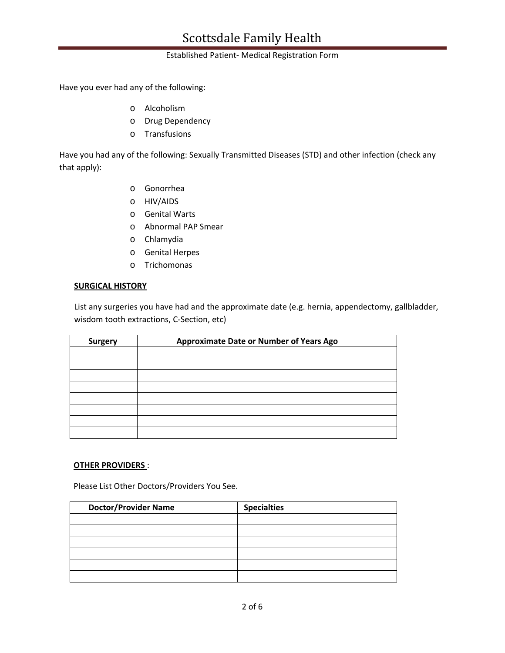### Established Patient‐ Medical Registration Form

Have you ever had any of the following:

- o Alcoholism
- o Drug Dependency
- o Transfusions

Have you had any of the following: Sexually Transmitted Diseases (STD) and other infection (check any that apply):

- o Gonorrhea
- o HIV/AIDS
- o Genital Warts
- o Abnormal PAP Smear
- o Chlamydia
- o Genital Herpes
- o Trichomonas

#### **SURGICAL HISTORY**

List any surgeries you have had and the approximate date (e.g. hernia, appendectomy, gallbladder, wisdom tooth extractions, C‐Section, etc)

| <b>Surgery</b> | Approximate Date or Number of Years Ago |
|----------------|-----------------------------------------|
|                |                                         |
|                |                                         |
|                |                                         |
|                |                                         |
|                |                                         |
|                |                                         |
|                |                                         |
|                |                                         |

## **OTHER PROVIDERS** :

Please List Other Doctors/Providers You See.

| <b>Doctor/Provider Name</b> | <b>Specialties</b> |
|-----------------------------|--------------------|
|                             |                    |
|                             |                    |
|                             |                    |
|                             |                    |
|                             |                    |
|                             |                    |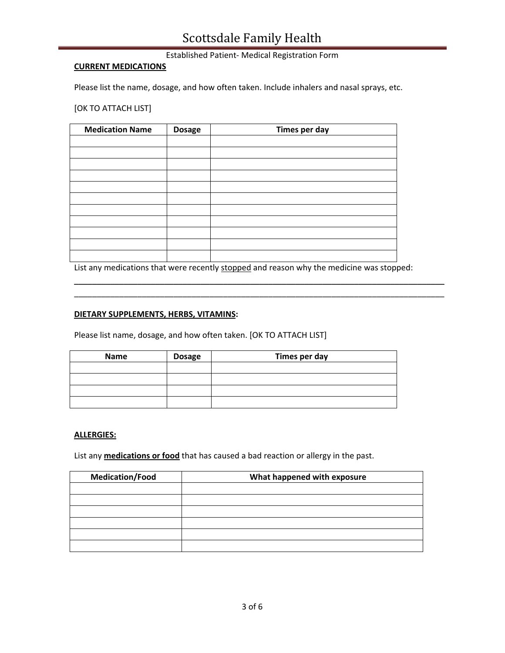### Established Patient‐ Medical Registration Form

## **CURRENT MEDICATIONS**

Please list the name, dosage, and how often taken. Include inhalers and nasal sprays, etc.

[OK TO ATTACH LIST]

| <b>Medication Name</b> | <b>Dosage</b> | Times per day |
|------------------------|---------------|---------------|
|                        |               |               |
|                        |               |               |
|                        |               |               |
|                        |               |               |
|                        |               |               |
|                        |               |               |
|                        |               |               |
|                        |               |               |
|                        |               |               |
|                        |               |               |
|                        |               |               |

List any medications that were recently stopped and reason why the medicine was stopped:

\_\_\_\_\_\_\_\_\_\_\_\_\_\_\_\_\_\_\_\_\_\_\_\_\_\_\_\_\_\_\_\_\_\_\_\_\_\_\_\_\_\_\_\_\_\_\_\_\_\_\_\_\_\_\_\_\_\_\_\_\_\_\_\_\_\_\_\_\_\_\_\_\_\_\_\_\_\_\_\_\_\_ \_\_\_\_\_\_\_\_\_\_\_\_\_\_\_\_\_\_\_\_\_\_\_\_\_\_\_\_\_\_\_\_\_\_\_\_\_\_\_\_\_\_\_\_\_\_\_\_\_\_\_\_\_\_\_\_\_\_\_\_\_\_\_\_\_\_\_\_\_\_\_\_\_\_\_\_\_\_\_\_\_\_

#### **DIETARY SUPPLEMENTS, HERBS, VITAMINS:**

Please list name, dosage, and how often taken. [OK TO ATTACH LIST]

| <b>Name</b> | <b>Dosage</b> | Times per day |  |
|-------------|---------------|---------------|--|
|             |               |               |  |
|             |               |               |  |
|             |               |               |  |
|             |               |               |  |

#### **ALLERGIES:**

List any **medications or food** that has caused a bad reaction or allergy in the past.

| <b>Medication/Food</b> | What happened with exposure |  |
|------------------------|-----------------------------|--|
|                        |                             |  |
|                        |                             |  |
|                        |                             |  |
|                        |                             |  |
|                        |                             |  |
|                        |                             |  |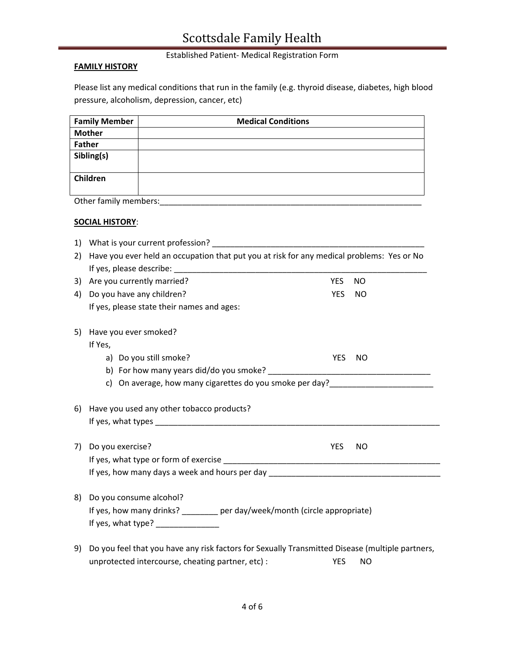## Established Patient‐ Medical Registration Form

## **FAMILY HISTORY**

Please list any medical conditions that run in the family (e.g. thyroid disease, diabetes, high blood pressure, alcoholism, depression, cancer, etc)

| <b>Family Member</b>  | <b>Medical Conditions</b> |  |  |
|-----------------------|---------------------------|--|--|
| <b>Mother</b>         |                           |  |  |
| <b>Father</b>         |                           |  |  |
| Sibling(s)            |                           |  |  |
|                       |                           |  |  |
| Children              |                           |  |  |
|                       |                           |  |  |
| Other family members: |                           |  |  |

### **SOCIAL HISTORY**:

| 1)                                                       | What is your current profession?                                                                |  |            |           |  |
|----------------------------------------------------------|-------------------------------------------------------------------------------------------------|--|------------|-----------|--|
| 2)                                                       | Have you ever held an occupation that put you at risk for any medical problems: Yes or No       |  |            |           |  |
|                                                          |                                                                                                 |  |            |           |  |
| 3)                                                       | Are you currently married?                                                                      |  | <b>YES</b> | NO.       |  |
| 4)                                                       | Do you have any children?                                                                       |  | <b>YES</b> | NO        |  |
|                                                          | If yes, please state their names and ages:                                                      |  |            |           |  |
| 5)                                                       | Have you ever smoked?                                                                           |  |            |           |  |
|                                                          | If Yes,                                                                                         |  |            |           |  |
|                                                          | a) Do you still smoke?                                                                          |  | <b>YES</b> | <b>NO</b> |  |
|                                                          |                                                                                                 |  |            |           |  |
| c) On average, how many cigarettes do you smoke per day? |                                                                                                 |  |            |           |  |
|                                                          |                                                                                                 |  |            |           |  |
| 6)                                                       | Have you used any other tobacco products?                                                       |  |            |           |  |
|                                                          |                                                                                                 |  |            |           |  |
|                                                          |                                                                                                 |  |            |           |  |
| 7)                                                       | Do you exercise?                                                                                |  | <b>YES</b> | <b>NO</b> |  |
|                                                          |                                                                                                 |  |            |           |  |
|                                                          | If yes, how many days a week and hours per day __________________________________               |  |            |           |  |
|                                                          |                                                                                                 |  |            |           |  |
| 8)                                                       | Do you consume alcohol?                                                                         |  |            |           |  |
|                                                          | If yes, how many drinks? ________ per day/week/month (circle appropriate)                       |  |            |           |  |
|                                                          | If yes, what type? _________________                                                            |  |            |           |  |
|                                                          |                                                                                                 |  |            |           |  |
| 9)                                                       | Do you feel that you have any risk factors for Sexually Transmitted Disease (multiple partners, |  |            |           |  |
|                                                          | unprotected intercourse, cheating partner, etc) :                                               |  | <b>YES</b> | NO        |  |
|                                                          |                                                                                                 |  |            |           |  |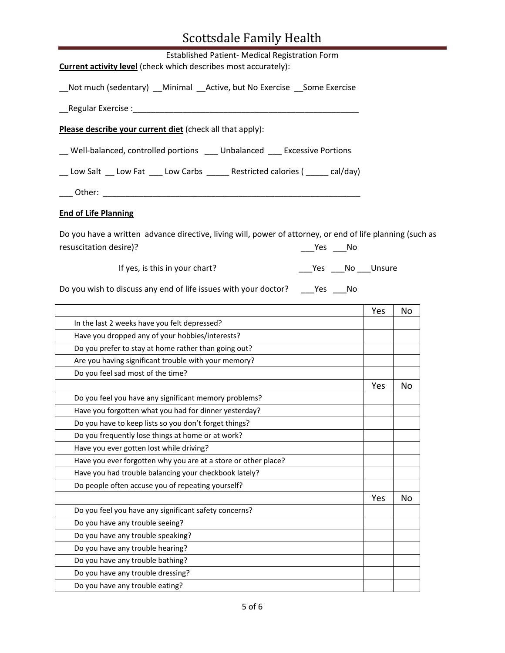| sestes automaine, return                                                                                                                        |     |    |
|-------------------------------------------------------------------------------------------------------------------------------------------------|-----|----|
| Established Patient- Medical Registration Form<br><b>Current activity level</b> (check which describes most accurately):                        |     |    |
| Not much (sedentary) __Minimal __Active, but No Exercise __Some Exercise                                                                        |     |    |
|                                                                                                                                                 |     |    |
| Please describe your current diet (check all that apply):                                                                                       |     |    |
| __ Well-balanced, controlled portions ___ Unbalanced ___ Excessive Portions                                                                     |     |    |
| __ Low Salt __ Low Fat ___ Low Carbs _____ Restricted calories ( _____ cal/day)                                                                 |     |    |
|                                                                                                                                                 |     |    |
| <b>End of Life Planning</b>                                                                                                                     |     |    |
| Do you have a written advance directive, living will, power of attorney, or end of life planning (such as<br>resuscitation desire)?<br>$Yes$ No |     |    |
| Yes _____ No _____ Unsure<br>If yes, is this in your chart?                                                                                     |     |    |
| Do you wish to discuss any end of life issues with your doctor? ______ Yes _____ No                                                             |     |    |
|                                                                                                                                                 | Yes | No |
| In the last 2 weeks have you felt depressed?                                                                                                    |     |    |
| Have you dropped any of your hobbies/interests?                                                                                                 |     |    |
| Do you prefer to stay at home rather than going out?                                                                                            |     |    |
| Are you having significant trouble with your memory?                                                                                            |     |    |
| Do you feel sad most of the time?                                                                                                               |     |    |
|                                                                                                                                                 | Yes | No |
| Do you feel you have any significant memory problems?                                                                                           |     |    |
| Have you forgotten what you had for dinner yesterday?                                                                                           |     |    |
| Do you have to keep lists so you don't forget things?                                                                                           |     |    |
| Do you frequently lose things at home or at work?                                                                                               |     |    |
| Have you ever gotten lost while driving?                                                                                                        |     |    |
| Have you ever forgotten why you are at a store or other place?                                                                                  |     |    |
| Have you had trouble balancing your checkbook lately?                                                                                           |     |    |
| Do people often accuse you of repeating yourself?                                                                                               |     |    |
|                                                                                                                                                 | Yes | No |
| Do you feel you have any significant safety concerns?                                                                                           |     |    |
| Do you have any trouble seeing?                                                                                                                 |     |    |
| Do you have any trouble speaking?                                                                                                               |     |    |
| Do you have any trouble hearing?                                                                                                                |     |    |
| Do you have any trouble bathing?                                                                                                                |     |    |
| Do you have any trouble dressing?                                                                                                               |     |    |
| Do you have any trouble eating?                                                                                                                 |     |    |